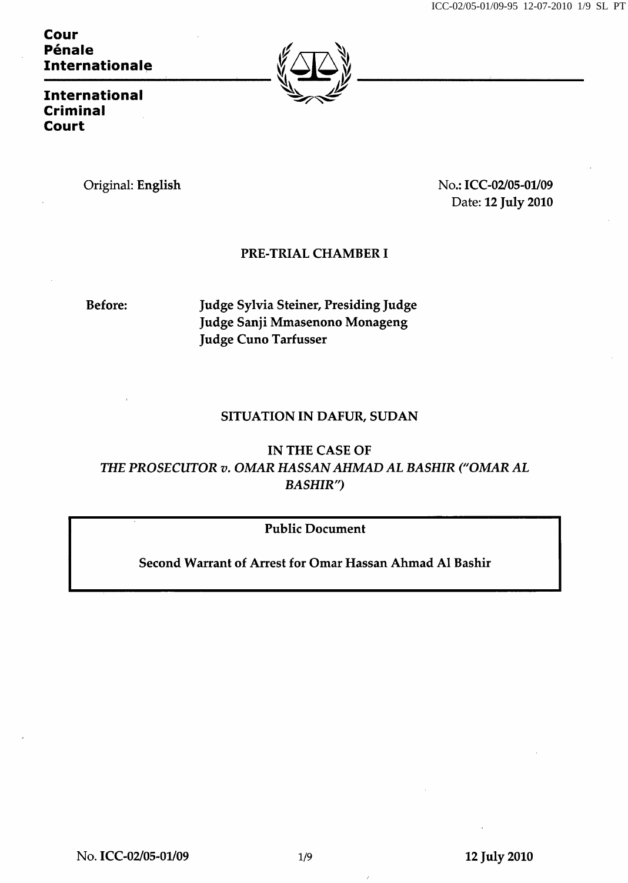Cour Pénale Internationale



International Criminal Court

Original: English No.: ICC-02/05-01/09 Date: 12 July 2010

## PRE-TRIAL CHAMBER I

Before: Judge Sylvia Steiner, Presiding Judge Judge Sanji Mmasenono Monageng Judge Cuno Tarfusser

## SITUATION IN DAFÜR, SUDAN

IN THE CASE OF THE PROSECUTOR v. OMAR HASSAN AHMAD AL BASHIR ("OMAR AL BASHIR")

Public Document

Second Warrant of Arrest for Omar Hassan Ahmad Al Bashir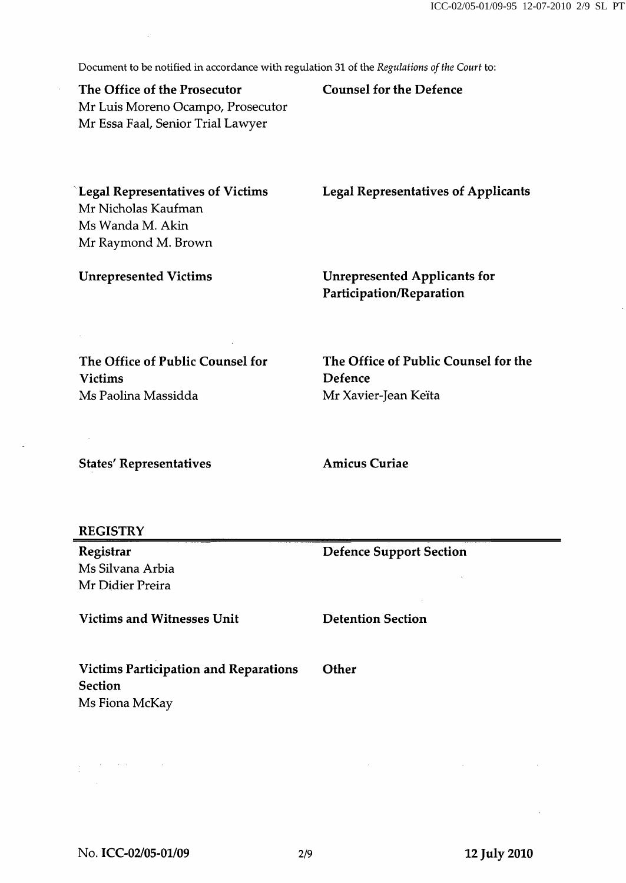Document to be notified in accordance with regulation 31 of the Regulations of the Court to:

The Office of the Prosecutor Counsel for the Defence Mr Luis Moreno Ocampo, Prosecutor Mr Essa Faal, Senior Trial Lawyer

Legal Representatives of Victims Mr Nicholas Kaufman Ms Wanda M. Akin Mr Raymond M. Brown

Legal Representatives of Applicants

Unrepresented Victims Unrepresented Applicants for Participation/Reparation

The Office of Public Counsel for Victims Ms Paolina Massidda

The Office of Public Counsel for the Defence Mr Xavier-Jean Keïta

States' Representatives **Amicus** Curiae

### REGISTRY

Registrar Ms Silvana Arbia Mr Didier Preira

Victims and Witnesses Unit Detention Section

Defence Support Section

Victims Participation and Reparations Other Section Ms Fiona McKay

 $\mathcal{L}(\mathcal{A})$  and  $\mathcal{L}(\mathcal{A})$  are  $\mathcal{L}(\mathcal{A})$  . In the  $\mathcal{L}(\mathcal{A})$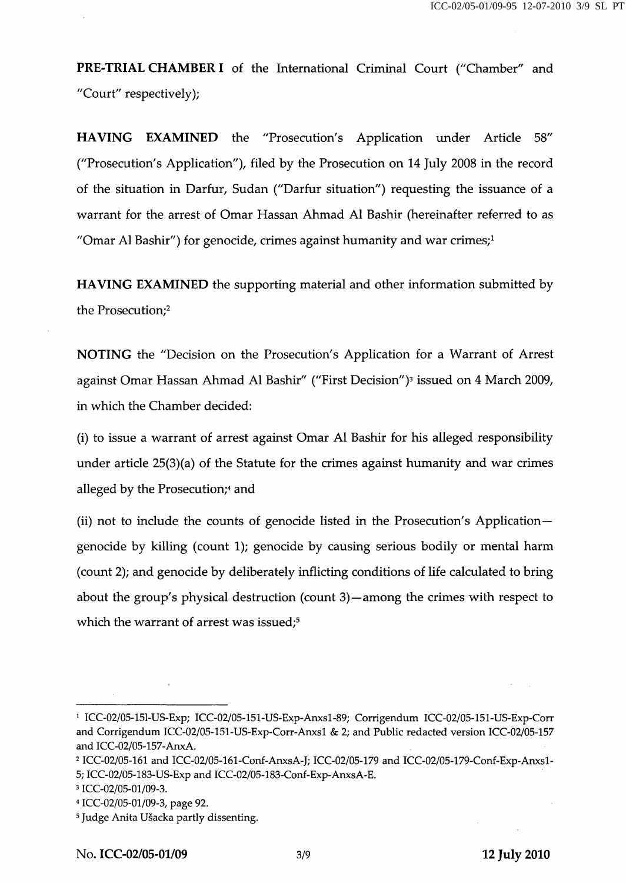PRE-TRIAL CHAMBER I of the International Criminal Court ("Chamber" and "Court" respectively);

HAVING EXAMINED the "Prosecution's Application under Article 58" ("Prosecution's Application"), filed by the Prosecution on 14 July 2008 in the record of the situation in Darfur, Sudan ("Darfur situation") requesting the issuance of a warrant for the arrest of Omar Hassan Ahmad Al Bashir (hereinafter referred to as "Omar Al Bashir") for genocide, crimes against humanity and war crimes; $^1$ 

HAVING EXAMINED the supporting material and other information submitted by the Prosecution;2

NOTING the "Decision on the Prosecution's Application for a Warrant of Arrest against Omar Hassan Ahmad Al Bashir" ("First Decision")<sup>3</sup> issued on 4 March 2009, in which the Chamber decided:

(i) to issue a warrant of arrest against Omar Al Bashir for his alleged responsibility under article 25(3)(a) of the Statute for the crimes against humanity and war crimes alleged by the Prosecution;<sup>4</sup> and

(ii) not to include the counts of genocide listed in the Prosecution's Application genocide by killing (count 1); genocide by causing serious bodily or mental harm (count 2); and genocide by deliberately inflicting conditions of life calculated to bring about the group's physical destruction (count 3) —among the crimes with respect to which the warrant of arrest was issued;<sup>5</sup>

<sup>1</sup> ICC-02/05-151-US-Exp; ICC-02/05-151-US-Exp-Anxsl-89; Corrigendum ICC-02/05-151-US-Exp-Corr and Corrigendum ICC-02/05-151-US-Exp-Corr-Anxsl & 2; and Public redacted version ICC-02/05-157 and ICC-02/05-157-AnxA.

<sup>2</sup> ICC-02/05-161 and ICC-02/05-161-Conf-AnxsA-J; ICC-02/05-179 and ICC-02/05-179-Conf-Exp-Anxsl-5; ICC-02/05-183-US-Exp and ICC-02/05-183-Conf-Exp-AnxsA-E.

<sup>3</sup> ICC-02/05-01/09-3.

<sup>4</sup> ICC-02/05-01/09-3, page 92.

<sup>&</sup>lt;sup>5</sup> Judge Anita Ušacka partly dissenting.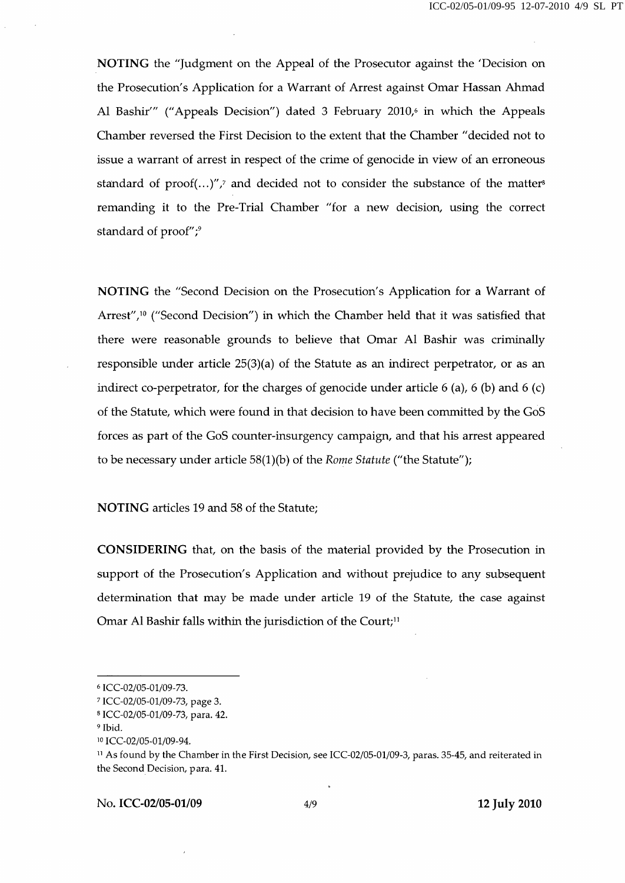NOTING the "Judgment on the Appeal of the Prosecutor against the 'Decision on the Prosecution's Application for a Warrant of Arrest against Omar Hassan Ahmad Al Bashir''' ("Appeals Decision") dated 3 February 2010, $\epsilon$  in which the Appeals Chamber reversed the First Decision to the extent that the Chamber "decided not to issue a warrant of arrest in respect of the crime of genocide in view of an erroneous standard of proof(...)",<sup>7</sup> and decided not to consider the substance of the matter<sup>s</sup> remanding it to the Pre-Trial Chamber "for a new decision, using the correct standard of  $proof$ "; $\frac{3}{7}$ 

NOTING the "Second Decision on the Prosecution's Application for a Warrant of Arrest",<sup>10</sup> ("Second Decision") in which the Chamber held that it was satisfied that there were reasonable grounds to believe that Omar Al Bashir was criminally responsible under article  $25(3)(a)$  of the Statute as an indirect perpetrator, or as an indirect co-perpetrator, for the charges of genocide under article 6 (a), 6 (b) and 6 (c) of the Statute, which were found in that decision to have been committed by the GoS forces as part of the GoS counter-insurgency campaign, and that his arrest appeared to be necessary under article  $58(1)(b)$  of the Rome Statute ("the Statute");

#### NOTING articles 19 and 58 of the Statute;

CONSIDERING that, on the basis of the material provided by the Prosecution in support of the Prosecution's Application and without prejudice to any subsequent determination that may be made under article 19 of the Statute, the case against Omar Al Bashir falls within the jurisdiction of the Court;<sup>11</sup>

<sup>6</sup> ICC-02/05-01/09-73.

<sup>7</sup> ICC-02/05-01/09-73, page 3.

<sup>8</sup> ICC-02/05-01/09-73, para. 42.

<sup>9</sup> Ibid.

<sup>&</sup>lt;sup>10</sup> ICC-02/05-01/09-94.

<sup>11</sup> As found by the Chamber in the First Decision, see ICC-02/05-01/09-3, paras. 35-45, and reiterated in the Second Decision, para. 41.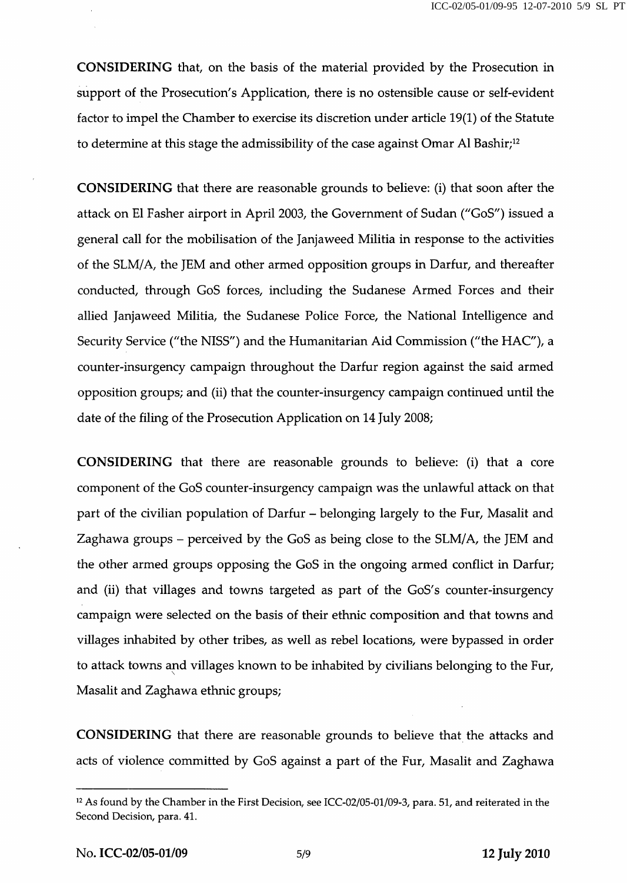CONSIDERING that, on the basis of the material provided by the Prosecution in support of the Prosecution's Application, there is no ostensible cause or self-evident factor to impel the Chamber to exercise its discretion under article 19(1) of the Statute to determine at this stage the admissibility of the case against Omar Al Bashir;<sup>12</sup>

CONSIDERING that there are reasonable grounds to believe: (i) that soon after the attack on El Fasher airport in April 2003, the Government of Sudan ("GoS") issued a general call for the mobilisation of the Janjaweed Militia in response to the activities of the SLM/A, the JEM and other armed opposition groups in Darfur, and thereafter conducted, through GoS forces, including the Sudanese Armed Forces and their allied Janjaweed Militia, the Sudanese Police Force, the National Intelligence and Security Service ("the NISS") and the Humanitarian Aid Commission ("the HAC"), a counter-insurgency campaign throughout the Darfur region against the said armed opposition groups; and (ii) that the counter-insurgency campaign continued until the date of the filing of the Prosecution Application on 14 July 2008;

CONSIDERING that there are reasonable grounds to believe: (i) that a core component of the GoS counter-insurgency campaign was the unlawful attack on that part of the civilian population of Darfur - belonging largely to the Fur, Masalit and Zaghawa groups – perceived by the GoS as being close to the SLM/A, the JEM and the other armed groups opposing the GoS in the ongoing armed conflict in Darfur; and (ii) that villages and towns targeted as part of the GoS's counter-insurgency campaign were selected on the basis of their ethnic composition and that towns and villages inhabited by other tribes, as well as rebel locations, were bypassed in order to attack towns and villages known to be inhabited by civilians belonging to the Fur, Masalit and Zaghawa ethnic groups;

CONSIDERING that there are reasonable grounds to believe that the attacks and acts of violence committed by GoS against a part of the Fur, Masalit and Zaghawa

<sup>12</sup> As found by the Chamber in the First Decision, see ICC-02/05-01/09-3, para. 51, and reiterated in the Second Decision, para. 41.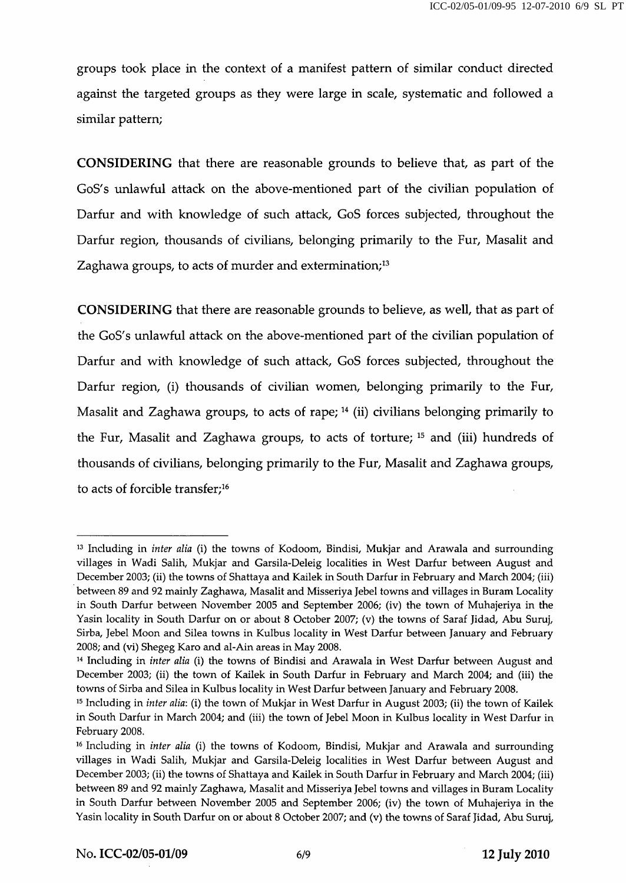groups took place in the context of a manifest pattern of similar conduct directed against the targeted groups as they were large in scale, systematic and followed a similar pattern;

CONSIDERING that there are reasonable grounds to believe that, as part of the GoS's unlawful attack on the above-mentioned part of the civilian population of Darfur and with knowledge of such attack, GoS forces subjected, throughout the Darfur region, thousands of civilians, belonging primarily to the Fur, Masalit and Zaghawa groups, to acts of murder and extermination; $13$ 

CONSIDERING that there are reasonable grounds to believe, as well, that as part of the GoS's unlawful attack on the above-mentioned part of the civilian population of Darfur and with knowledge of such attack, GoS forces subjected, throughout the Darfur region, (i) thousands of civilian women, belonging primarily to the Fur, Masalit and Zaghawa groups, to acts of rape;  $^{14}$  (ii) civilians belonging primarily to the Fur, Masalit and Zaghawa groups, to acts of torture;  $15$  and (iii) hundreds of thousands of civilians, belonging primarily to the Fur, Masalit and Zaghawa groups, to acts of forcible transfer;<sup>16</sup>

<sup>&</sup>lt;sup>13</sup> Including in *inter alia* (i) the towns of Kodoom, Bindisi, Mukjar and Arawala and surrounding villages in Wadi Salih, Mukjar and Garsila-Deleig localities in West Darfur between August and December 2003; (ii) the towns of Shattaya and Kailek in South Darfur in February and March 2004; (iii) between 89 and 92 mainly Zaghawa, Masalit and Misseriya Jebel towns and villages in Buram Locality in South Darfur between November 2005 and September 2006; (iv) the town of Muhajeriya in the Yasin locality in South Darfur on or about 8 October 2007; (v) the towns of Saraf Jidad, Abu Suruj, Sirba, Jebel Moon and Silea towns in Kulbus locality in West Darfur between January and February 2008; and (vi) Shegeg Karo and al-Ain areas in May 2008.

<sup>&</sup>lt;sup>14</sup> Including in *inter alia* (i) the towns of Bindisi and Arawala in West Darfur between August and December 2003; (ii) the town of Kailek in South Darfur in February and March 2004; and (iii) the towns of Sirba and Silea in Kulbus locality in West Darfur between January and February 2008.

<sup>&</sup>lt;sup>15</sup> Including in *inter alia*: (i) the town of Mukjar in West Darfur in August 2003; (ii) the town of Kailek in South Darfur in March 2004; and (iii) the town of Jebel Moon in Kulbus locality in West Darfur in February 2008.

<sup>&</sup>lt;sup>16</sup> Including in *inter alia* (i) the towns of Kodoom, Bindisi, Mukjar and Arawala and surrounding villages in Wadi Salih, Mukjar and Garsila-Deleig localities in West Darfur between August and December 2003; (ii) the towns of Shattaya and Kailek in South Darfur in February and March 2004; (iii) between 89 and 92 mainly Zaghawa, Masalit and Misseriya Jebel towns and villages in Buram Locality in South Darfur between November 2005 and September 2006; (iv) the town of Muhajeriya in the Yasin locality in South Darfur on or about 8 October 2007; and (v) the towns of Saraf Jidad, Abu Suruj,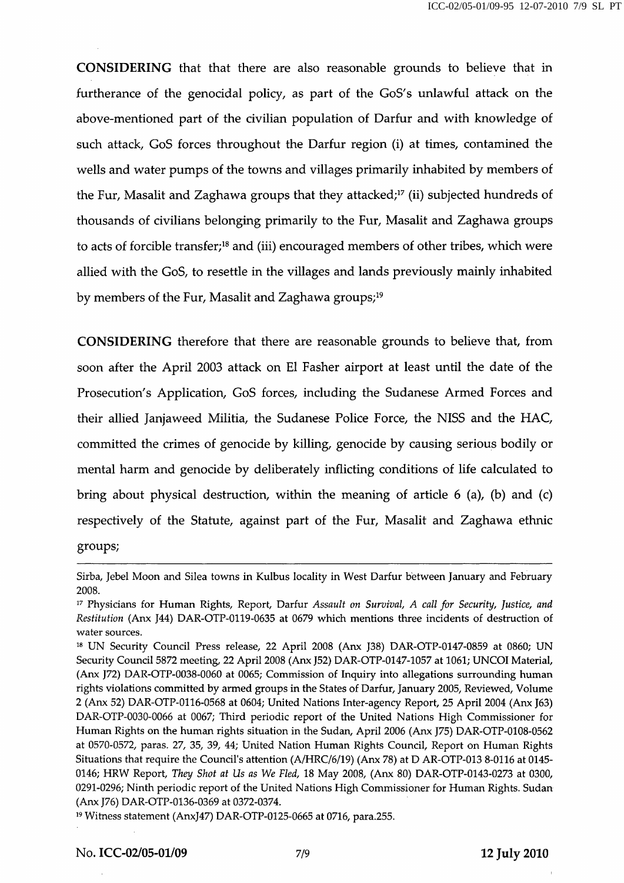CONSIDERING that that there are also reasonable grounds to believe that in furtherance of the genocidal policy, as part of the GoS's unlawful attack on the above-mentioned part of the civilian population of Darfur and with knowledge of such attack, GoS forces throughout the Darfur region (i) at times, contamined the wells and water pumps of the towns and villages primarily inhabited by members of the Fur, Masalit and Zaghawa groups that they attacked;<sup>17</sup> (ii) subjected hundreds of thousands of civilians belonging primarily to the Fur, Masalit and Zaghawa groups to acts of forcible transfer;<sup>18</sup> and (iii) encouraged members of other tribes, which were allied with the GoS, to resettle in the villages and lands previously mainly inhabited by members of the Fur, Masalit and Zaghawa groups;<sup>19</sup>

CONSIDERING therefore that there are reasonable grounds to believe that, from soon after the April 2003 attack on El Fasher airport at least until the date of the Prosecution's Application, GoS forces, including the Sudanese Armed Forces and their allied Janjaweed Militia, the Sudanese Police Force, the NISS and the HAC, committed the crimes of genocide by killing, genocide by causing serious bodily or mental harm and genocide by deliberately inflicting conditions of life calculated to bring about physical destruction, within the meaning of article 6 (a), (b) and (c) respectively of the Statute, against part of the Fur, Masalit and Zaghawa ethnic groups;

Sirba, Jebel Moon and Silea towns in Kulbus locality in West Darfur between January and February 2008.

<sup>&</sup>lt;sup>17</sup> Physicians for Human Rights, Report, Darfur Assault on Survival, A call for Security, Justice, and Restitution (Anx J44) DAR-OTP-0119-0635 at 0679 which mentions three incidents of destruction of water sources.

<sup>&</sup>lt;sup>18</sup> UN Security Council Press release, 22 April 2008 (Anx J38) DAR-OTP-0147-0859 at 0860; UN Security Council 5872 meeting, 22 April 2008 (Anx J52) DAR-OTP-0147-1057 at 1061; UNCOI Material, (Anx J72) DAR-OTP-0038-0060 at 0065; Commission of Inquiry into allegations surrounding human rights violations committed by armed groups in the States of Darfur, January 2005, Reviewed, Volume 2 (Anx 52) DAR-OTP-0116-0568 at 0604; United Nations Inter-agency Report, 25 April 2004 (Anx J63) DAR-OTP-0030-0066 at 0067; Third periodic report of the United Nations High Commissioner for Human Rights on the human rights situation in the Sudan, April 2006 (Anx J75) DAR-OTP-0108-0562 at 0570-0572, paras. 27, 35, 39, 44; United Nation Human Rights Council, Report on Human Rights Situations that require the Council's attention (A/HRC/6/19) (Anx 78) at D AR-OTP-013 8-0116 at 0145- 0146; HRW Report, They Shot at Us as We Fled, 18 May 2008, (Anx 80) DAR-OTP-0143-0273 at 0300, 0291-0296; Ninth periodic report of the United Nations High Commissioner for Human Rights. Sudan (Anx J76) DAR-OTP-0136-0369 at 0372-0374.

<sup>19</sup> Witness statement (AnxJ47) DAR-OTP-0125-0665 at 0716, para.255.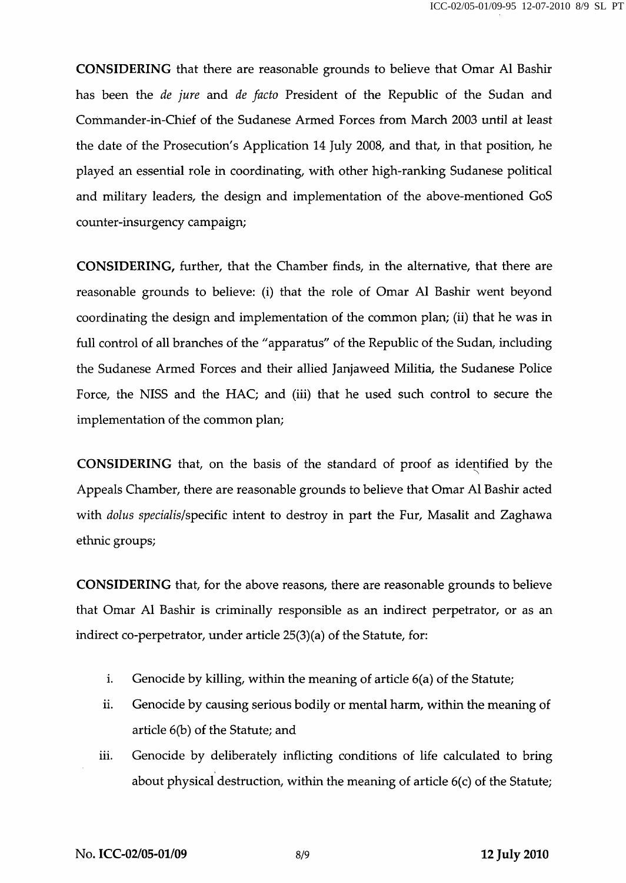CONSIDERING that there are reasonable grounds to believe that Omar Al Bashir has been the *de jure* and *de facto* President of the Republic of the Sudan and Commander-in-Chief of the Sudanese Armed Forces from March 2003 until at least the date of the Prosecution's Application 14 July 2008, and that, in that position, he played an essential role in coordinating, with other high-ranking Sudanese political and military leaders, the design and implementation of the above-mentioned GoS counter-insurgency campaign;

CONSIDERING, further, that the Chamber finds, in the alternative, that there are reasonable grounds to believe: (i) that the role of Omar Al Bashir went beyond coordinating the design and implementation of the common plan; (ii) that he was in full control of all branches of the "apparatus" of the Republic of the Sudan, including the Sudanese Armed Forces and their allied Janjaweed Militia, the Sudanese Police Force, the NISS and the HAC; and (iii) that he used such control to secure the implementation of the common plan;

CONSIDERING that, on the basis of the standard of proof as identified by the Appeals Chamber, there are reasonable grounds to believe that Omar Al Bashir acted with dolus specialis/specific intent to destroy in part the Fur, Masalit and Zaghawa ethnic groups;

CONSIDERING that, for the above reasons, there are reasonable grounds to believe that Omar Al Bashir is criminally responsible as an indirect perpetrator, or as an indirect co-perpetrator, under article 25(3)(a) of the Statute, for:

- i. Genocide by killing, within the meaning of article 6(a) of the Statute;
- ii. Genocide by causing serious bodily or mental harm, within the meaning of article 6(b) of the Statute; and
- iii. Genocide by deliberately inflicting conditions of life calculated to bring about physical destruction, within the meaning of article 6(c) of the Statute;